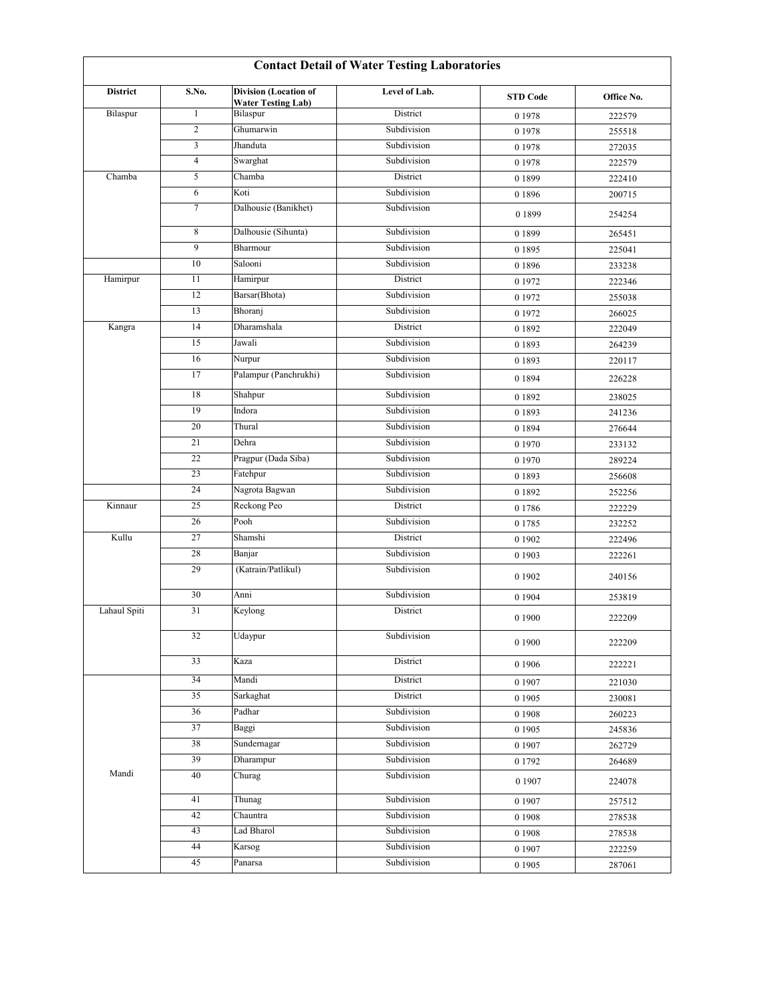| <b>Contact Detail of Water Testing Laboratories</b> |                |                                                           |               |                 |            |  |  |  |  |
|-----------------------------------------------------|----------------|-----------------------------------------------------------|---------------|-----------------|------------|--|--|--|--|
| <b>District</b>                                     | S.No.          | <b>Division</b> (Location of<br><b>Water Testing Lab)</b> | Level of Lab. | <b>STD Code</b> | Office No. |  |  |  |  |
| Bilaspur                                            | $\mathbf{1}$   | Bilaspur                                                  | District      | 0 1 9 7 8       | 222579     |  |  |  |  |
|                                                     | $\overline{c}$ | Ghumarwin                                                 | Subdivision   | 0 1 9 7 8       | 255518     |  |  |  |  |
|                                                     | 3              | Jhanduta                                                  | Subdivision   | 0 1 9 7 8       | 272035     |  |  |  |  |
|                                                     | $\overline{4}$ | Swarghat                                                  | Subdivision   | 0 1 9 7 8       | 222579     |  |  |  |  |
| Chamba                                              | 5              | Chamba                                                    | District      | 0 1 8 9 9       | 222410     |  |  |  |  |
|                                                     | 6              | Koti                                                      | Subdivision   | 0 1 8 9 6       | 200715     |  |  |  |  |
|                                                     | $\tau$         | Dalhousie (Banikhet)                                      | Subdivision   | 0 1 8 9 9       | 254254     |  |  |  |  |
|                                                     | 8              | Dalhousie (Sihunta)                                       | Subdivision   | 01899           | 265451     |  |  |  |  |
|                                                     | 9              | Bharmour                                                  | Subdivision   | 0 1 8 9 5       | 225041     |  |  |  |  |
|                                                     | 10             | Salooni                                                   | Subdivision   | 01896           | 233238     |  |  |  |  |
| Hamirpur                                            | 11             | Hamirpur                                                  | District      | 0 1972          | 222346     |  |  |  |  |
|                                                     | 12             | Barsar(Bhota)                                             | Subdivision   | 0 1 9 7 2       | 255038     |  |  |  |  |
|                                                     | 13             | Bhoranj                                                   | Subdivision   | 0 1972          | 266025     |  |  |  |  |
| Kangra                                              | 14             | Dharamshala                                               | District      | 0 1 8 9 2       | 222049     |  |  |  |  |
|                                                     | 15             | Jawali                                                    | Subdivision   | 0 1 8 9 3       | 264239     |  |  |  |  |
|                                                     | 16             | Nurpur                                                    | Subdivision   | 0 1 8 9 3       | 220117     |  |  |  |  |
|                                                     | 17             | Palampur (Panchrukhi)                                     | Subdivision   | 0 1 8 9 4       | 226228     |  |  |  |  |
|                                                     | 18             | Shahpur                                                   | Subdivision   | 0 1 8 9 2       | 238025     |  |  |  |  |
|                                                     | 19             | Indora                                                    | Subdivision   | 0 1 8 9 3       | 241236     |  |  |  |  |
|                                                     | 20             | Thural                                                    | Subdivision   | 0 1 8 9 4       | 276644     |  |  |  |  |
|                                                     | 21             | Dehra                                                     | Subdivision   | 0 1 9 7 0       | 233132     |  |  |  |  |
|                                                     | 22             | Pragpur (Dada Siba)                                       | Subdivision   | 0 1 9 7 0       | 289224     |  |  |  |  |
|                                                     | 23             | Fatehpur                                                  | Subdivision   | 0 1 8 9 3       | 256608     |  |  |  |  |
|                                                     | 24             | Nagrota Bagwan                                            | Subdivision   | 0 1 8 9 2       | 252256     |  |  |  |  |
| Kinnaur                                             | 25             | Reckong Peo                                               | District      | 01786           | 222229     |  |  |  |  |
|                                                     | 26             | Pooh                                                      | Subdivision   | 0 1 7 8 5       | 232252     |  |  |  |  |
| Kullu                                               | 27             | Shamshi                                                   | District      | 0 1 9 0 2       | 222496     |  |  |  |  |
|                                                     | 28             | Banjar                                                    | Subdivision   | 0 1 9 0 3       | 222261     |  |  |  |  |
|                                                     | 29             | (Katrain/Patlikul)                                        | Subdivision   | 0 1 9 0 2       | 240156     |  |  |  |  |
|                                                     | 30             | Anni                                                      | Subdivision   | 0 1 9 0 4       | 253819     |  |  |  |  |
| Lahaul Spiti                                        | 31             | Keylong                                                   | District      | 0 1 9 0 0       | 222209     |  |  |  |  |
|                                                     | 32             | Udaypur                                                   | Subdivision   | 0 1 9 0 0       | 222209     |  |  |  |  |
|                                                     | 33             | Kaza                                                      | District      | 0 1 9 0 6       | 222221     |  |  |  |  |
|                                                     | 34             | Mandi                                                     | District      | 0 1 9 0 7       | 221030     |  |  |  |  |
|                                                     | 35             | Sarkaghat                                                 | District      | 0 1 9 0 5       | 230081     |  |  |  |  |
|                                                     | 36             | Padhar                                                    | Subdivision   | 0 1 9 0 8       | 260223     |  |  |  |  |
|                                                     | 37             | Baggi                                                     | Subdivision   | 0 1 9 0 5       | 245836     |  |  |  |  |
|                                                     | 38             | Sundernagar                                               | Subdivision   | 0 1 9 0 7       | 262729     |  |  |  |  |
|                                                     | 39             | Dharampur                                                 | Subdivision   | 0 1 7 9 2       | 264689     |  |  |  |  |
| Mandi                                               | 40             | Churag                                                    | Subdivision   | 0 1907          | 224078     |  |  |  |  |
|                                                     | 41             | Thunag                                                    | Subdivision   | 0 1 9 0 7       | 257512     |  |  |  |  |
|                                                     | 42             | Chauntra                                                  | Subdivision   | 0 1 9 0 8       | 278538     |  |  |  |  |
|                                                     | 43             | Lad Bharol                                                | Subdivision   | 0 1 9 0 8       | 278538     |  |  |  |  |
|                                                     | 44             | Karsog                                                    | Subdivision   | 0 1 9 0 7       | 222259     |  |  |  |  |
|                                                     | 45             | Panarsa                                                   | Subdivision   | 0 1 9 0 5       | 287061     |  |  |  |  |